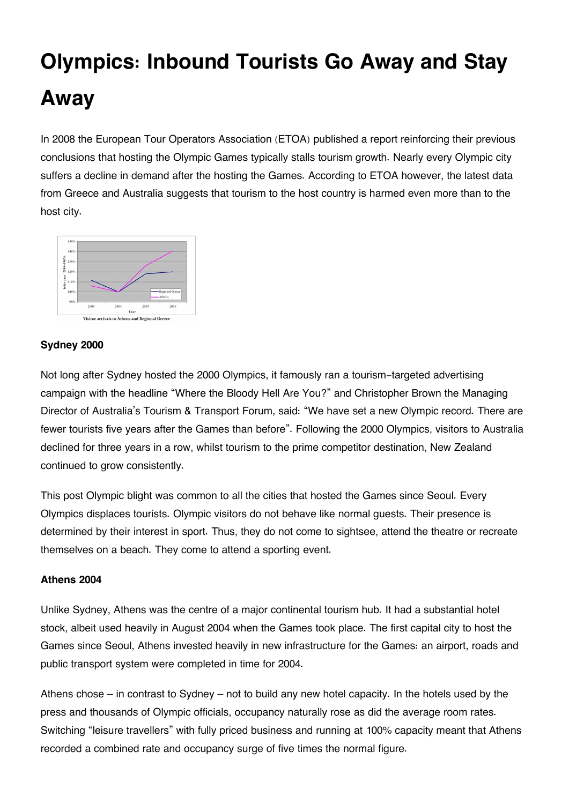## **Olympics: Inbound Tourists Go Away and Stay Away**

In 2008 the European Tour Operators Association (ETOA) published a report reinforcing their previous conclusions that hosting the Olympic Games typically stalls tourism growth. Nearly every Olympic city suffers a decline in demand after the hosting the Games. According to ETOA however, the latest data from Greece and Australia suggests that tourism to the host country is harmed even more than to the host city.



## **Sydney 2000**

Not long after Sydney hosted the 2000 Olympics, it famously ran a tourism-targeted advertising campaign with the headline "Where the Bloody Hell Are You?" and Christopher Brown the Managing Director of Australia's Tourism & Transport Forum, said: "We have set a new Olympic record. There are fewer tourists five years after the Games than before". Following the 2000 Olympics, visitors to Australia declined for three years in a row, whilst tourism to the prime competitor destination, New Zealand continued to grow consistently.

This post Olympic blight was common to all the cities that hosted the Games since Seoul. Every Olympics displaces tourists. Olympic visitors do not behave like normal guests. Their presence is determined by their interest in sport. Thus, they do not come to sightsee, attend the theatre or recreate themselves on a beach. They come to attend a sporting event.

## **Athens 2004**

Unlike Sydney, Athens was the centre of a major continental tourism hub. It had a substantial hotel stock, albeit used heavily in August 2004 when the Games took place. The first capital city to host the Games since Seoul, Athens invested heavily in new infrastructure for the Games: an airport, roads and public transport system were completed in time for 2004.

Athens chose – in contrast to Sydney – not to build any new hotel capacity. In the hotels used by the press and thousands of Olympic officials, occupancy naturally rose as did the average room rates. Switching "leisure travellers" with fully priced business and running at 100% capacity meant that Athens recorded a combined rate and occupancy surge of five times the normal figure.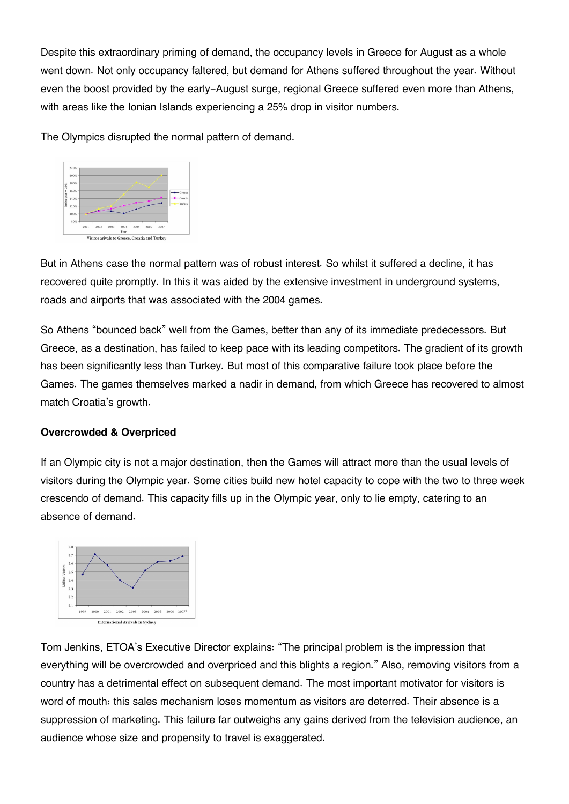Despite this extraordinary priming of demand, the occupancy levels in Greece for August as a whole went down. Not only occupancy faltered, but demand for Athens suffered throughout the year. Without even the boost provided by the early-August surge, regional Greece suffered even more than Athens, with areas like the Ionian Islands experiencing a 25% drop in visitor numbers.

The Olympics disrupted the normal pattern of demand.



But in Athens case the normal pattern was of robust interest. So whilst it suffered a decline, it has recovered quite promptly. In this it was aided by the extensive investment in underground systems, roads and airports that was associated with the 2004 games.

So Athens "bounced back" well from the Games, better than any of its immediate predecessors. But Greece, as a destination, has failed to keep pace with its leading competitors. The gradient of its growth has been significantly less than Turkey. But most of this comparative failure took place before the Games. The games themselves marked a nadir in demand, from which Greece has recovered to almost match Croatia's growth.

## **Overcrowded & Overpriced**

If an Olympic city is not a major destination, then the Games will attract more than the usual levels of visitors during the Olympic year. Some cities build new hotel capacity to cope with the two to three week crescendo of demand. This capacity fills up in the Olympic year, only to lie empty, catering to an absence of demand.



Tom Jenkins, ETOA's Executive Director explains: "The principal problem is the impression that everything will be overcrowded and overpriced and this blights a region." Also, removing visitors from a country has a detrimental effect on subsequent demand. The most important motivator for visitors is word of mouth: this sales mechanism loses momentum as visitors are deterred. Their absence is a suppression of marketing. This failure far outweighs any gains derived from the television audience, an audience whose size and propensity to travel is exaggerated.